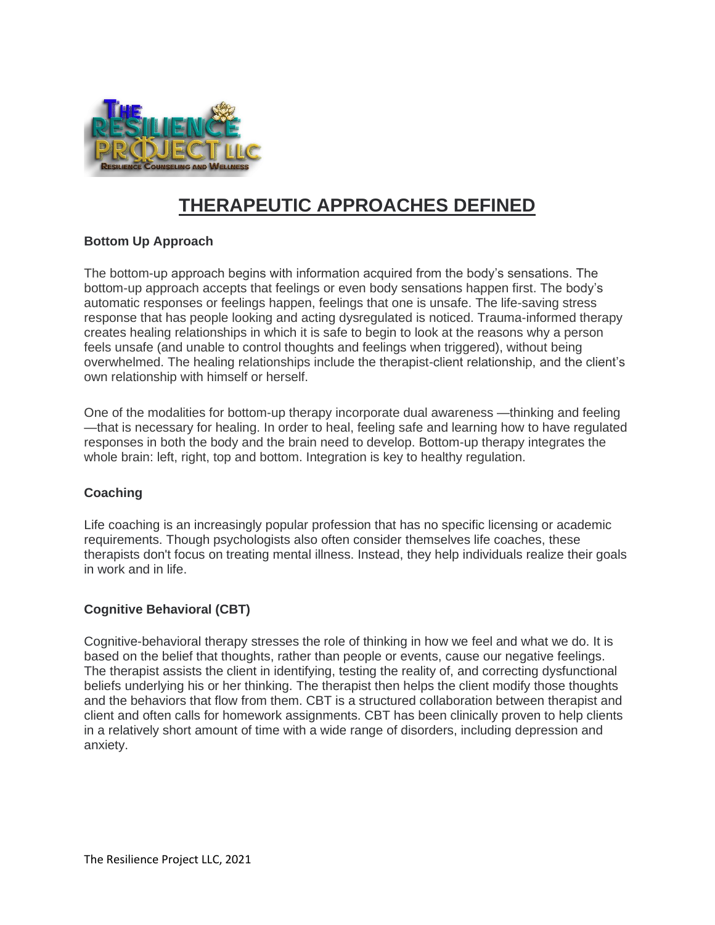

# **THERAPEUTIC APPROACHES DEFINED**

# **Bottom Up Approach**

The bottom-up approach begins with information acquired from the body's sensations. The bottom-up approach accepts that feelings or even body sensations happen first. The body's automatic responses or feelings happen, feelings that one is unsafe. The life-saving stress response that has people looking and acting dysregulated is noticed. Trauma-informed therapy creates healing relationships in which it is safe to begin to look at the reasons why a person feels unsafe (and unable to control thoughts and feelings when triggered), without being overwhelmed. The healing relationships include the therapist-client relationship, and the client's own relationship with himself or herself.

One of the modalities for bottom-up therapy incorporate dual awareness —thinking and feeling —that is necessary for healing. In order to heal, feeling safe and learning how to have regulated responses in both the body and the brain need to develop. Bottom-up therapy integrates the whole brain: left, right, top and bottom. Integration is key to healthy regulation.

# **Coaching**

Life coaching is an increasingly popular profession that has no specific licensing or academic requirements. Though psychologists also often consider themselves life coaches, these therapists don't focus on treating mental illness. Instead, they help individuals realize their goals in work and in life.

# **Cognitive Behavioral (CBT)**

Cognitive-behavioral therapy stresses the role of thinking in how we feel and what we do. It is based on the belief that thoughts, rather than people or events, cause our negative feelings. The therapist assists the client in identifying, testing the reality of, and correcting dysfunctional beliefs underlying his or her thinking. The therapist then helps the client modify those thoughts and the behaviors that flow from them. CBT is a structured collaboration between therapist and client and often calls for homework assignments. CBT has been clinically proven to help clients in a relatively short amount of time with a wide range of disorders, including depression and anxiety.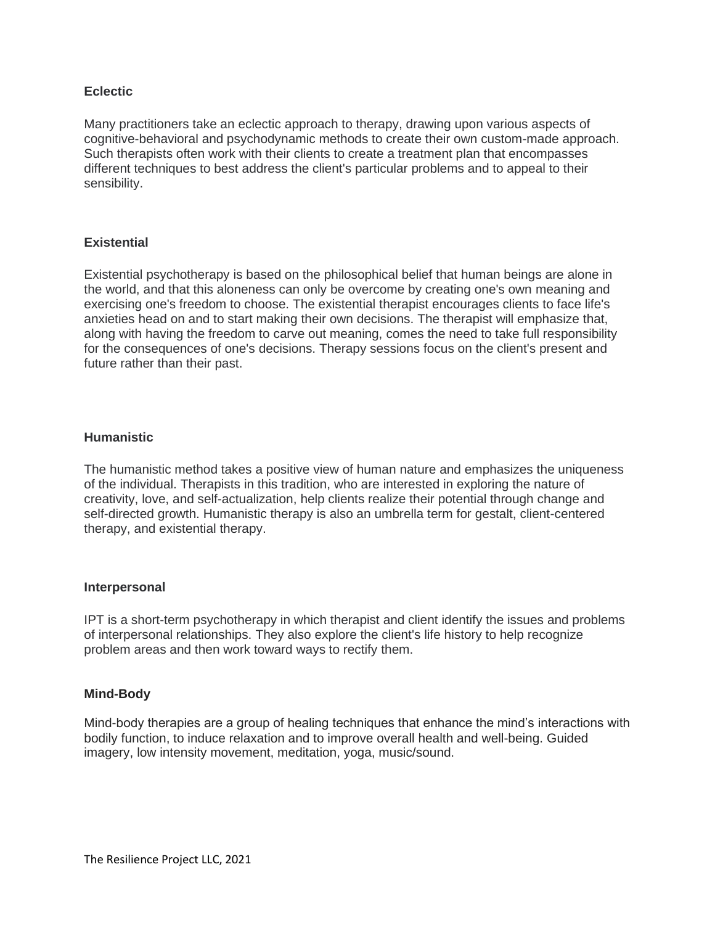#### **Eclectic**

Many practitioners take an eclectic approach to therapy, drawing upon various aspects of cognitive-behavioral and psychodynamic methods to create their own custom-made approach. Such therapists often work with their clients to create a treatment plan that encompasses different techniques to best address the client's particular problems and to appeal to their sensibility.

# **Existential**

Existential psychotherapy is based on the philosophical belief that human beings are alone in the world, and that this aloneness can only be overcome by creating one's own meaning and exercising one's freedom to choose. The existential therapist encourages clients to face life's anxieties head on and to start making their own decisions. The therapist will emphasize that, along with having the freedom to carve out meaning, comes the need to take full responsibility for the consequences of one's decisions. Therapy sessions focus on the client's present and future rather than their past.

## **Humanistic**

The humanistic method takes a positive view of human nature and emphasizes the uniqueness of the individual. Therapists in this tradition, who are interested in exploring the nature of creativity, love, and self-actualization, help clients realize their potential through change and self-directed growth. Humanistic therapy is also an umbrella term for gestalt, client-centered therapy, and existential therapy.

#### **Interpersonal**

IPT is a short-term psychotherapy in which therapist and client identify the issues and problems of interpersonal relationships. They also explore the client's life history to help recognize problem areas and then work toward ways to rectify them.

#### **Mind-Body**

Mind-body therapies are a group of healing techniques that enhance the mind's interactions with bodily function, to induce relaxation and to improve overall health and well-being. Guided imagery, low intensity movement, meditation, yoga, music/sound.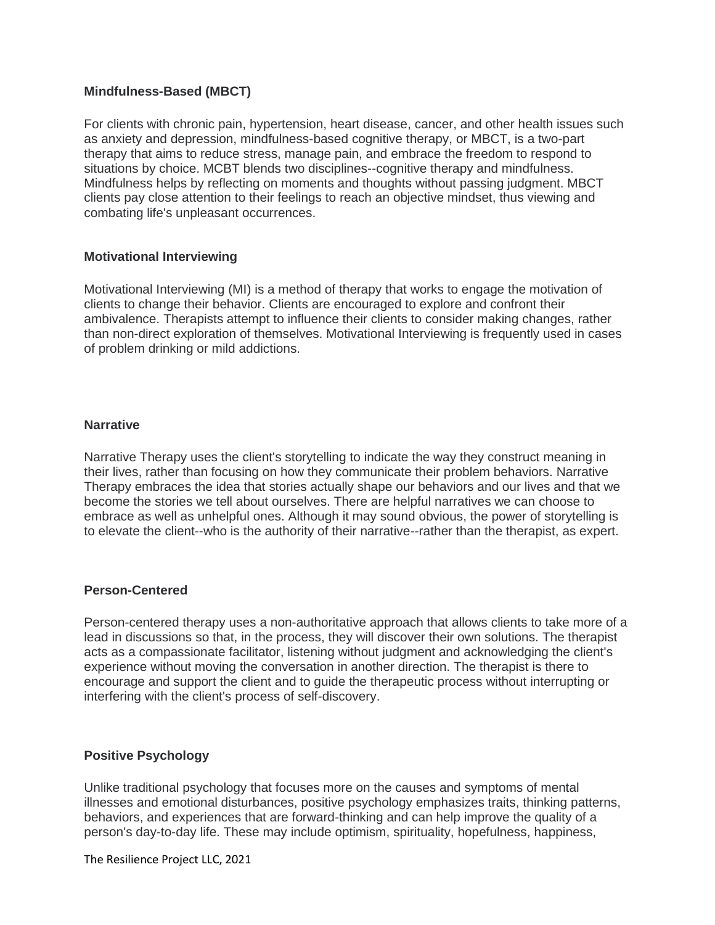## **Mindfulness-Based (MBCT)**

For clients with chronic pain, hypertension, heart disease, cancer, and other health issues such as anxiety and depression, mindfulness-based cognitive therapy, or MBCT, is a two-part therapy that aims to reduce stress, manage pain, and embrace the freedom to respond to situations by choice. MCBT blends two disciplines--cognitive therapy and mindfulness. Mindfulness helps by reflecting on moments and thoughts without passing judgment. MBCT clients pay close attention to their feelings to reach an objective mindset, thus viewing and combating life's unpleasant occurrences.

## **Motivational Interviewing**

Motivational Interviewing (MI) is a method of therapy that works to engage the motivation of clients to change their behavior. Clients are encouraged to explore and confront their ambivalence. Therapists attempt to influence their clients to consider making changes, rather than non-direct exploration of themselves. Motivational Interviewing is frequently used in cases of problem drinking or mild addictions.

## **Narrative**

Narrative Therapy uses the client's storytelling to indicate the way they construct meaning in their lives, rather than focusing on how they communicate their problem behaviors. Narrative Therapy embraces the idea that stories actually shape our behaviors and our lives and that we become the stories we tell about ourselves. There are helpful narratives we can choose to embrace as well as unhelpful ones. Although it may sound obvious, the power of storytelling is to elevate the client--who is the authority of their narrative--rather than the therapist, as expert.

# **Person-Centered**

Person-centered therapy uses a non-authoritative approach that allows clients to take more of a lead in discussions so that, in the process, they will discover their own solutions. The therapist acts as a compassionate facilitator, listening without judgment and acknowledging the client's experience without moving the conversation in another direction. The therapist is there to encourage and support the client and to guide the therapeutic process without interrupting or interfering with the client's process of self-discovery.

# **Positive Psychology**

Unlike traditional psychology that focuses more on the causes and symptoms of mental illnesses and emotional disturbances, positive psychology emphasizes traits, thinking patterns, behaviors, and experiences that are forward-thinking and can help improve the quality of a person's day-to-day life. These may include optimism, spirituality, hopefulness, happiness,

The Resilience Project LLC, 2021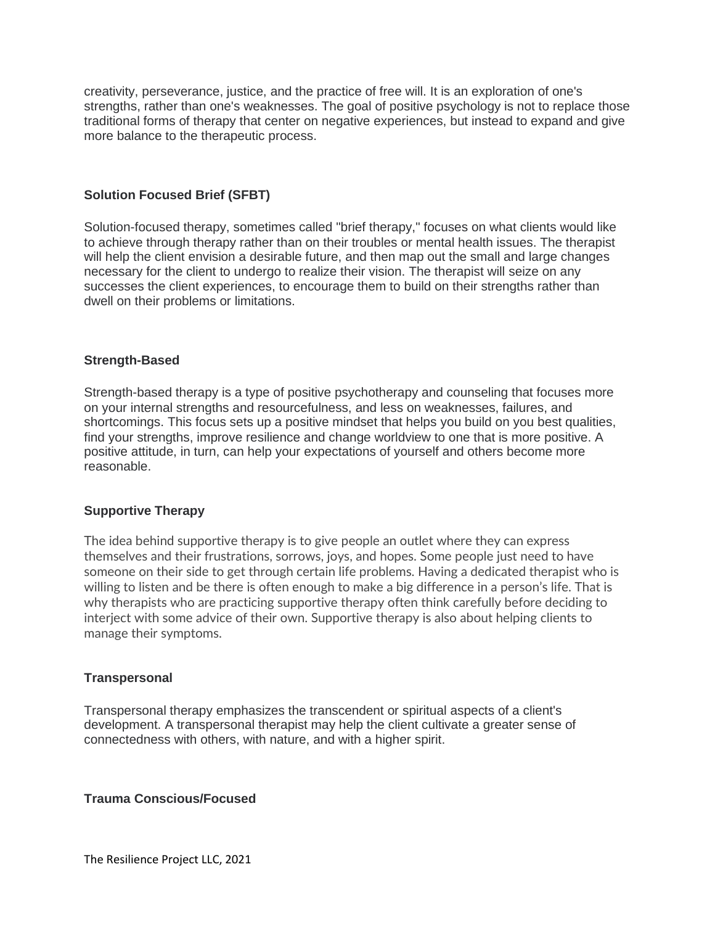creativity, perseverance, justice, and the practice of free will. It is an exploration of one's strengths, rather than one's weaknesses. The goal of positive psychology is not to replace those traditional forms of therapy that center on negative experiences, but instead to expand and give more balance to the therapeutic process.

## **Solution Focused Brief (SFBT)**

Solution-focused therapy, sometimes called "brief therapy," focuses on what clients would like to achieve through therapy rather than on their troubles or mental health issues. The therapist will help the client envision a desirable future, and then map out the small and large changes necessary for the client to undergo to realize their vision. The therapist will seize on any successes the client experiences, to encourage them to build on their strengths rather than dwell on their problems or limitations.

## **Strength-Based**

Strength-based therapy is a type of positive psychotherapy and counseling that focuses more on your internal strengths and resourcefulness, and less on weaknesses, failures, and shortcomings. This focus sets up a positive mindset that helps you build on you best qualities, find your strengths, improve resilience and change worldview to one that is more positive. A positive attitude, in turn, can help your expectations of yourself and others become more reasonable.

#### **Supportive Therapy**

The idea behind supportive therapy is to give people an outlet where they can express themselves and their frustrations, sorrows, joys, and hopes. Some people just need to have someone on their side to get through certain life problems. Having a dedicated therapist who is willing to listen and be there is often enough to make a big difference in a person's life. That is why therapists who are practicing supportive therapy often think carefully before deciding to interject with some advice of their own. Supportive therapy is also about helping clients to manage their symptoms.

# **Transpersonal**

Transpersonal therapy emphasizes the transcendent or spiritual aspects of a client's development. A transpersonal therapist may help the client cultivate a greater sense of connectedness with others, with nature, and with a higher spirit.

#### **Trauma Conscious/Focused**